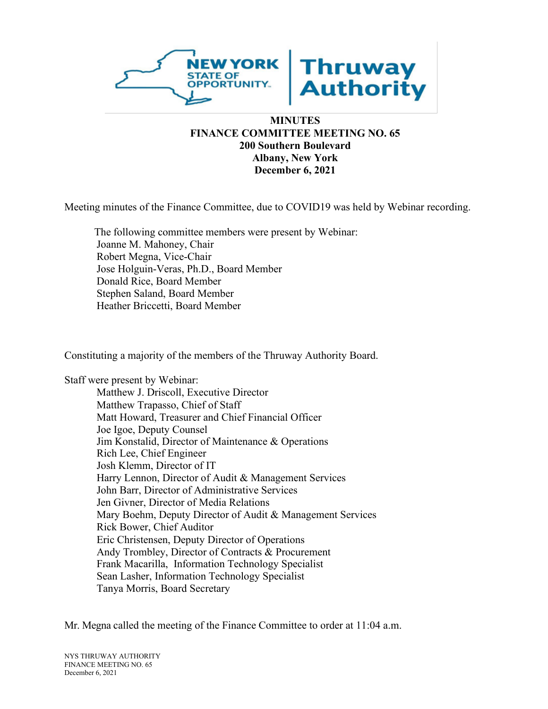

#### **MINUTES FINANCE COMMITTEE MEETING NO. 65 200 Southern Boulevard Albany, New York December 6, 2021**

Meeting minutes of the Finance Committee, due to COVID19 was held by Webinar recording.

The following committee members were present by Webinar: Joanne M. Mahoney, Chair Robert Megna, Vice-Chair Jose Holguin-Veras, Ph.D., Board Member Donald Rice, Board Member Stephen Saland, Board Member Heather Briccetti, Board Member

Constituting a majority of the members of the Thruway Authority Board.

Staff were present by Webinar:

Matthew J. Driscoll, Executive Director Matthew Trapasso, Chief of Staff Matt Howard, Treasurer and Chief Financial Officer Joe Igoe, Deputy Counsel Jim Konstalid, Director of Maintenance & Operations Rich Lee, Chief Engineer Josh Klemm, Director of IT Harry Lennon, Director of Audit & Management Services John Barr, Director of Administrative Services Jen Givner, Director of Media Relations Mary Boehm, Deputy Director of Audit & Management Services Rick Bower, Chief Auditor Eric Christensen, Deputy Director of Operations Andy Trombley, Director of Contracts & Procurement Frank Macarilla, Information Technology Specialist Sean Lasher, Information Technology Specialist Tanya Morris, Board Secretary

Mr. Megna called the meeting of the Finance Committee to order at 11:04 a.m.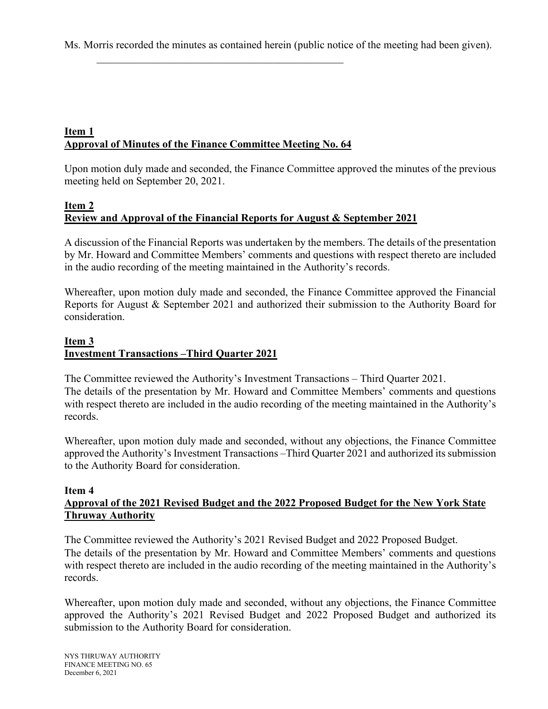Ms. Morris recorded the minutes as contained herein (public notice of the meeting had been given).

# **Item 1 Approval of Minutes of the Finance Committee Meeting No. 64**

 $\mathcal{L}_\mathcal{L}$  , which is a set of the set of the set of the set of the set of the set of the set of the set of the set of the set of the set of the set of the set of the set of the set of the set of the set of the set of

Upon motion duly made and seconded, the Finance Committee approved the minutes of the previous meeting held on September 20, 2021.

### **Item 2 Review and Approval of the Financial Reports for August & September 2021**

A discussion of the Financial Reports was undertaken by the members. The details of the presentation by Mr. Howard and Committee Members' comments and questions with respect thereto are included in the audio recording of the meeting maintained in the Authority's records.

Whereafter, upon motion duly made and seconded, the Finance Committee approved the Financial Reports for August & September 2021 and authorized their submission to the Authority Board for consideration.

### **Item 3 Investment Transactions –Third Quarter 2021**

The Committee reviewed the Authority's Investment Transactions – Third Quarter 2021. The details of the presentation by Mr. Howard and Committee Members' comments and questions with respect thereto are included in the audio recording of the meeting maintained in the Authority's records.

Whereafter, upon motion duly made and seconded, without any objections, the Finance Committee approved the Authority's Investment Transactions –Third Quarter 2021 and authorized its submission to the Authority Board for consideration.

#### **Item 4**

### **Approval of the 2021 Revised Budget and the 2022 Proposed Budget for the New York State Thruway Authority**

The Committee reviewed the Authority's 2021 Revised Budget and 2022 Proposed Budget. The details of the presentation by Mr. Howard and Committee Members' comments and questions with respect thereto are included in the audio recording of the meeting maintained in the Authority's records.

Whereafter, upon motion duly made and seconded, without any objections, the Finance Committee approved the Authority's 2021 Revised Budget and 2022 Proposed Budget and authorized its submission to the Authority Board for consideration.